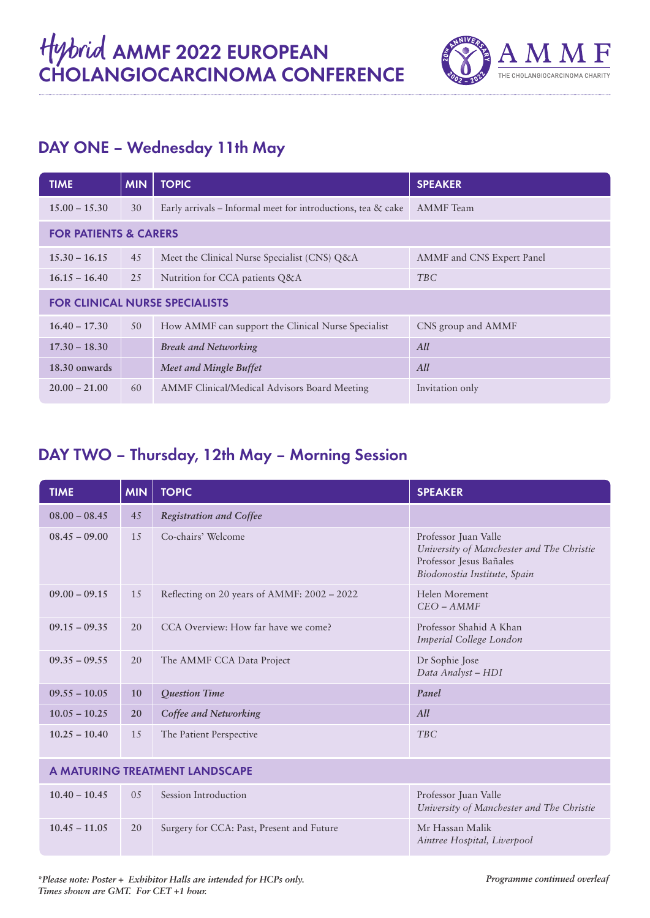

# DAY ONE – Wednesday 11th May

| <b>TIME</b>                           | <b>MIN</b> | <b>TOPIC</b>                                                    | <b>SPEAKER</b>            |  |
|---------------------------------------|------------|-----------------------------------------------------------------|---------------------------|--|
| $15.00 - 15.30$                       | 30         | Early arrivals – Informal meet for introductions, tea $\&$ cake | <b>AMMF</b> Team          |  |
| <b>FOR PATIENTS &amp; CARERS</b>      |            |                                                                 |                           |  |
| $15.30 - 16.15$                       | 45         | Meet the Clinical Nurse Specialist (CNS) Q&A                    | AMMF and CNS Expert Panel |  |
| $16.15 - 16.40$                       | 25         | Nutrition for CCA patients Q&A                                  | <b>TBC</b>                |  |
| <b>FOR CLINICAL NURSE SPECIALISTS</b> |            |                                                                 |                           |  |
| $16.40 - 17.30$                       | 50         | How AMMF can support the Clinical Nurse Specialist              | CNS group and AMMF        |  |
| $17.30 - 18.30$                       |            | <b>Break and Networking</b>                                     | All                       |  |
| 18.30 onwards                         |            | Meet and Mingle Buffet                                          | All                       |  |
| $20.00 - 21.00$                       | 60         | AMMF Clinical/Medical Advisors Board Meeting                    | Invitation only           |  |

#### DAY TWO – Thursday, 12th May – Morning Session

| <b>TIME</b>                    | <b>MIN</b> | <b>TOPIC</b>                                | <b>SPEAKER</b>                                                                                                               |
|--------------------------------|------------|---------------------------------------------|------------------------------------------------------------------------------------------------------------------------------|
| $08.00 - 08.45$                | 45         | <b>Registration and Coffee</b>              |                                                                                                                              |
| $08.45 - 09.00$                | 15         | Co-chairs' Welcome                          | Professor Juan Valle<br>University of Manchester and The Christie<br>Professor Jesus Bañales<br>Biodonostia Institute, Spain |
| $09.00 - 09.15$                | 15         | Reflecting on 20 years of AMMF: 2002 - 2022 | Helen Morement<br>$CEO - AMMF$                                                                                               |
| $09.15 - 09.35$                | 20         | CCA Overview: How far have we come?         | Professor Shahid A Khan<br>Imperial College London                                                                           |
| $09.35 - 09.55$                | 20         | The AMMF CCA Data Project                   | Dr Sophie Jose<br>Data Analyst - HDI                                                                                         |
| $09.55 - 10.05$                | 10         | Question Time                               | Panel                                                                                                                        |
| $10.05 - 10.25$                | 20         | Coffee and Networking                       | All                                                                                                                          |
| $10.25 - 10.40$                | 15         | The Patient Perspective                     | <b>TBC</b>                                                                                                                   |
| A MATURING TREATMENT LANDSCAPE |            |                                             |                                                                                                                              |
| $10.40 - 10.45$                | 05         | Session Introduction                        | Professor Juan Valle<br>University of Manchester and The Christie                                                            |
| $10.45 - 11.05$                | 20         | Surgery for CCA: Past, Present and Future   | Mr Hassan Malik<br>Aintree Hospital, Liverpool                                                                               |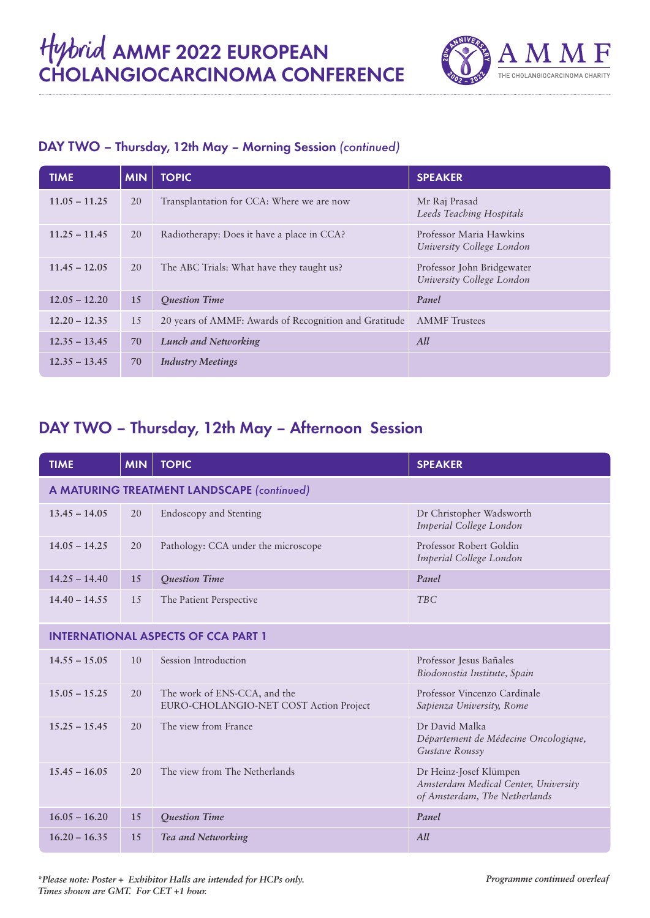

#### DAY TWO – Thursday, 12th May – Morning Session *(continued)*

| <b>TIME</b>     | <b>MIN</b> | <b>TOPIC</b>                                          | <b>SPEAKER</b>                                          |
|-----------------|------------|-------------------------------------------------------|---------------------------------------------------------|
| $11.05 - 11.25$ | 20         | Transplantation for CCA: Where we are now             | Mr Raj Prasad<br>Leeds Teaching Hospitals               |
| $11.25 - 11.45$ | 20         | Radiotherapy: Does it have a place in CCA?            | Professor Maria Hawkins<br>University College London    |
| $11.45 - 12.05$ | 20         | The ABC Trials: What have they taught us?             | Professor John Bridgewater<br>University College London |
| $12.05 - 12.20$ | 15         | <b>Ouestion Time</b>                                  | Panel                                                   |
| $12.20 - 12.35$ | 15         | 20 years of AMMF: Awards of Recognition and Gratitude | <b>AMMF</b> Trustees                                    |
| $12.35 - 13.45$ | 70         | <b>Lunch and Networking</b>                           | All                                                     |
| $12.35 - 13.45$ | 70         | <b>Industry Meetings</b>                              |                                                         |

## DAY TWO – Thursday, 12th May – Afternoon Session

| <b>TIME</b>                                | <b>MIN</b> | <b>TOPIC</b>                                                           | <b>SPEAKER</b>                                                                                  |  |
|--------------------------------------------|------------|------------------------------------------------------------------------|-------------------------------------------------------------------------------------------------|--|
| A MATURING TREATMENT LANDSCAPE (continued) |            |                                                                        |                                                                                                 |  |
| $13.45 - 14.05$                            | 20         | <b>Endoscopy and Stenting</b>                                          | Dr Christopher Wadsworth<br>Imperial College London                                             |  |
| $14.05 - 14.25$                            | 20         | Pathology: CCA under the microscope                                    | Professor Robert Goldin<br>Imperial College London                                              |  |
| $14.25 - 14.40$                            | 15         | <b>Question Time</b>                                                   | Panel                                                                                           |  |
| $14.40 - 14.55$                            | 1.5        | The Patient Perspective                                                | <b>TBC</b>                                                                                      |  |
| <b>INTERNATIONAL ASPECTS OF CCA PART 1</b> |            |                                                                        |                                                                                                 |  |
| $14.55 - 15.05$                            | 10         | Session Introduction                                                   | Professor Jesus Bañales<br>Biodonostia Institute, Spain                                         |  |
| $15.05 - 15.25$                            | 20         | The work of ENS-CCA, and the<br>EURO-CHOLANGIO-NET COST Action Project | Professor Vincenzo Cardinale<br>Sapienza University, Rome                                       |  |
| $15.25 - 15.45$                            | 20         | The view from France                                                   | Dr David Malka<br>Département de Médecine Oncologique,<br>Gustave Roussy                        |  |
| $15.45 - 16.05$                            | 20         | The view from The Netherlands                                          | Dr Heinz-Josef Klümpen<br>Amsterdam Medical Center, University<br>of Amsterdam, The Netherlands |  |
| $16.05 - 16.20$                            | 15         | <b>Ouestion Time</b>                                                   | Panel                                                                                           |  |
| $16.20 - 16.35$                            | 15         | Tea and Networking                                                     | All                                                                                             |  |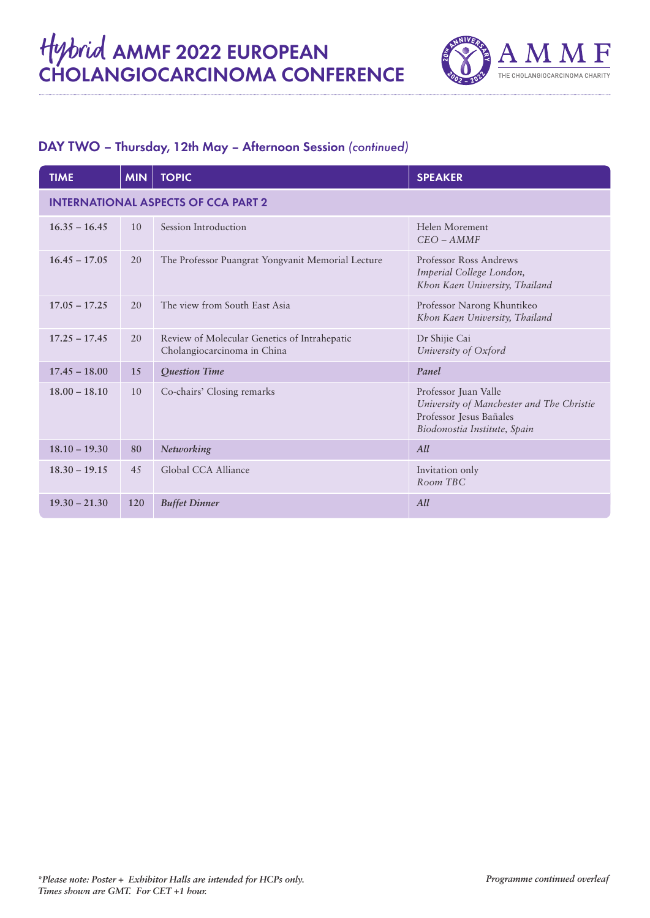

#### DAY TWO – Thursday, 12th May – Afternoon Session *(continued)*

| <b>TIME</b>                                | <b>MIN</b> | <b>TOPIC</b>                                                                | <b>SPEAKER</b>                                                                                                               |  |
|--------------------------------------------|------------|-----------------------------------------------------------------------------|------------------------------------------------------------------------------------------------------------------------------|--|
| <b>INTERNATIONAL ASPECTS OF CCA PART 2</b> |            |                                                                             |                                                                                                                              |  |
| $16.35 - 16.45$                            | 10         | Session Introduction                                                        | Helen Morement<br>$CEO - AMMF$                                                                                               |  |
| $16.45 - 17.05$                            | 20         | The Professor Puangrat Yongvanit Memorial Lecture                           | Professor Ross Andrews<br>Imperial College London,<br>Khon Kaen University, Thailand                                         |  |
| $17.05 - 17.25$                            | 20         | The view from South East Asia                                               | Professor Narong Khuntikeo<br>Khon Kaen University, Thailand                                                                 |  |
| $17.25 - 17.45$                            | 20         | Review of Molecular Genetics of Intrahepatic<br>Cholangiocarcinoma in China | Dr Shijie Cai<br>University of Oxford                                                                                        |  |
| $17.45 - 18.00$                            | 15         | Question Time                                                               | Panel                                                                                                                        |  |
| $18.00 - 18.10$                            | 10         | Co-chairs' Closing remarks                                                  | Professor Juan Valle<br>University of Manchester and The Christie<br>Professor Jesus Bañales<br>Biodonostia Institute, Spain |  |
| $18.10 - 19.30$                            | 80         | Networking                                                                  | All                                                                                                                          |  |
| $18.30 - 19.15$                            | 45         | Global CCA Alliance                                                         | Invitation only<br>Room TBC                                                                                                  |  |
| $19.30 - 21.30$                            | 120        | <b>Buffet Dinner</b>                                                        | All                                                                                                                          |  |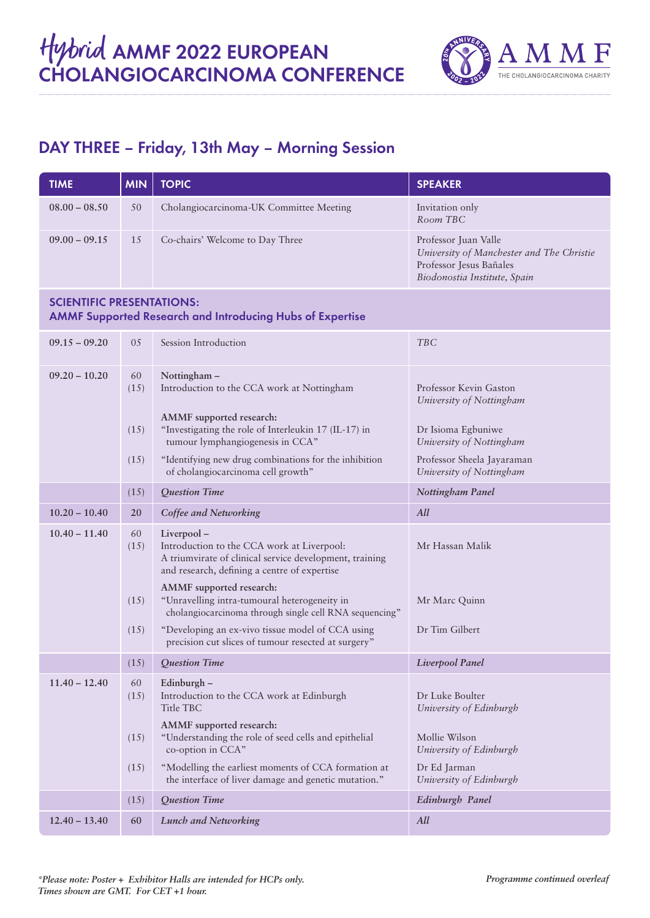

## DAY THREE – Friday, 13th May – Morning Session

| <b>TIME</b>                                                                                          | <b>MIN</b> | <b>TOPIC</b>                                                                                                                                                        | <b>SPEAKER</b>                                                                                                               |
|------------------------------------------------------------------------------------------------------|------------|---------------------------------------------------------------------------------------------------------------------------------------------------------------------|------------------------------------------------------------------------------------------------------------------------------|
| $08.00 - 08.50$                                                                                      | 50         | Cholangiocarcinoma-UK Committee Meeting                                                                                                                             | Invitation only<br>Room TBC                                                                                                  |
| $09.00 - 09.15$                                                                                      | 15         | Co-chairs' Welcome to Day Three                                                                                                                                     | Professor Juan Valle<br>University of Manchester and The Christie<br>Professor Jesus Bañales<br>Biodonostia Institute, Spain |
| <b>SCIENTIFIC PRESENTATIONS:</b><br><b>AMMF Supported Research and Introducing Hubs of Expertise</b> |            |                                                                                                                                                                     |                                                                                                                              |
| $09.15 - 09.20$                                                                                      | 05         | Session Introduction                                                                                                                                                | <b>TBC</b>                                                                                                                   |
| $09.20 - 10.20$                                                                                      | 60<br>(15) | Nottingham-<br>Introduction to the CCA work at Nottingham                                                                                                           | Professor Kevin Gaston<br>University of Nottingham                                                                           |
|                                                                                                      | (15)       | AMMF supported research:<br>"Investigating the role of Interleukin 17 (IL-17) in<br>tumour lymphangiogenesis in CCA"                                                | Dr Isioma Egbuniwe<br>University of Nottingham                                                                               |
|                                                                                                      | (15)       | "Identifying new drug combinations for the inhibition<br>of cholangiocarcinoma cell growth"                                                                         | Professor Sheela Jayaraman<br>University of Nottingham                                                                       |
|                                                                                                      | (15)       | Question Time                                                                                                                                                       | Nottingham Panel                                                                                                             |
| $10.20 - 10.40$                                                                                      | 20         | Coffee and Networking                                                                                                                                               | All                                                                                                                          |
| $10.40 - 11.40$                                                                                      | 60<br>(15) | Liverpool-<br>Introduction to the CCA work at Liverpool:<br>A triumvirate of clinical service development, training<br>and research, defining a centre of expertise | Mr Hassan Malik                                                                                                              |
|                                                                                                      | (15)       | AMMF supported research:<br>"Unravelling intra-tumoural heterogeneity in<br>cholangiocarcinoma through single cell RNA sequencing"                                  | Mr Marc Quinn                                                                                                                |
|                                                                                                      | (15)       | "Developing an ex-vivo tissue model of CCA using<br>precision cut slices of tumour resected at surgery"                                                             | Dr Tim Gilbert                                                                                                               |
|                                                                                                      |            | $(15)$ Question Time                                                                                                                                                | Liverpool Panel                                                                                                              |
| $11.40 - 12.40$                                                                                      | 60<br>(15) | Edinburgh -<br>Introduction to the CCA work at Edinburgh<br>Title TBC                                                                                               | Dr Luke Boulter<br>University of Edinburgh                                                                                   |
|                                                                                                      | (15)       | AMMF supported research:<br>"Understanding the role of seed cells and epithelial<br>co-option in CCA"                                                               | Mollie Wilson<br>University of Edinburgh                                                                                     |
|                                                                                                      | (15)       | "Modelling the earliest moments of CCA formation at<br>the interface of liver damage and genetic mutation."                                                         | Dr Ed Jarman<br>University of Edinburgh                                                                                      |
|                                                                                                      | (15)       | Question Time                                                                                                                                                       | Edinburgh Panel                                                                                                              |
| $12.40 - 13.40$                                                                                      | 60         | <b>Lunch and Networking</b>                                                                                                                                         | All                                                                                                                          |